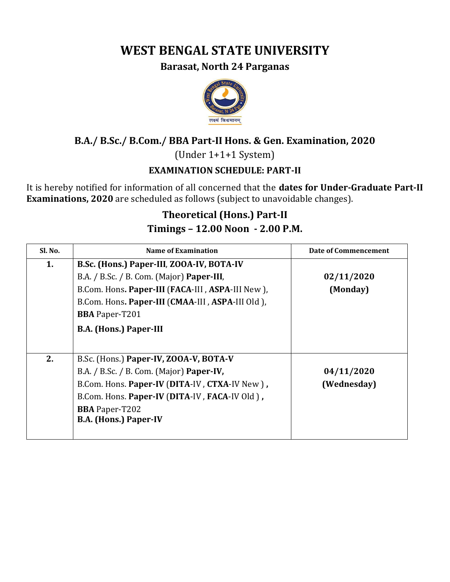# **WEST BENGAL STATE UNIVERSITY**

#### **Barasat, North 24 Parganas**



## **B.A./ B.Sc./ B.Com./ BBA Part-II Hons. & Gen. Examination, 2020**

(Under 1+1+1 System)

### **EXAMINATION SCHEDULE: PART-II**

It is hereby notified for information of all concerned that the **dates for Under-Graduate Part-II Examinations, 2020** are scheduled as follows (subject to unavoidable changes).

# **Theoretical (Hons.) Part-II Timings – 12.00 Noon - 2.00 P.M.**

| Sl. No. | Name of Examination                                                                                                                                                                                                                           | Date of Commencement      |
|---------|-----------------------------------------------------------------------------------------------------------------------------------------------------------------------------------------------------------------------------------------------|---------------------------|
| 1.      | B.Sc. (Hons.) Paper-III, ZOOA-IV, BOTA-IV<br>B.A. / B.Sc. / B. Com. (Major) Paper-III,<br>B.Com. Hons. Paper-III (FACA-III, ASPA-III New),                                                                                                    | 02/11/2020<br>(Monday)    |
|         | B.Com. Hons. Paper-III (CMAA-III, ASPA-III Old),<br><b>BBA</b> Paper-T201<br><b>B.A. (Hons.) Paper-III</b>                                                                                                                                    |                           |
| 2.      | B.Sc. (Hons.) Paper-IV, ZOOA-V, BOTA-V<br>B.A. / B.Sc. / B. Com. (Major) Paper-IV,<br>B.Com. Hons. Paper-IV (DITA-IV, CTXA-IV New),<br>B.Com. Hons. Paper-IV (DITA-IV, FACA-IV Old),<br><b>BBA</b> Paper-T202<br><b>B.A. (Hons.) Paper-IV</b> | 04/11/2020<br>(Wednesday) |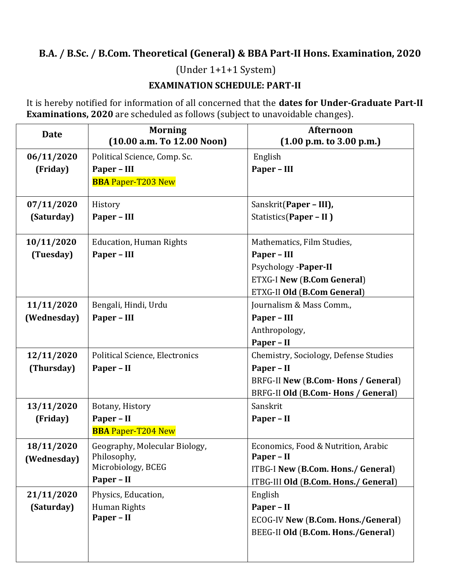## **B.A. / B.Sc. / B.Com. Theoretical (General) & BBA Part-II Hons. Examination, 2020**

(Under 1+1+1 System)

#### **EXAMINATION SCHEDULE: PART-II**

It is hereby notified for information of all concerned that the **dates for Under-Graduate Part-II Examinations, 2020** are scheduled as follows (subject to unavoidable changes).

| <b>Date</b> | <b>Morning</b><br>(10.00 a.m. To 12.00 Noon) | <b>Afternoon</b><br>(1.00 p.m. to 3.00 p.m.) |
|-------------|----------------------------------------------|----------------------------------------------|
| 06/11/2020  | Political Science, Comp. Sc.                 | English                                      |
| (Friday)    | Paper - III<br><b>BBA Paper-T203 New</b>     | Paper - III                                  |
| 07/11/2020  | History                                      | Sanskrit(Paper - III),                       |
| (Saturday)  | Paper - III                                  | Statistics(Paper - II)                       |
| 10/11/2020  | <b>Education, Human Rights</b>               | Mathematics, Film Studies,                   |
| (Tuesday)   | Paper - III                                  | Paper - III                                  |
|             |                                              | Psychology -Paper-II                         |
|             |                                              | <b>ETXG-I New (B.Com General)</b>            |
|             |                                              | ETXG-II Old (B.Com General)                  |
| 11/11/2020  | Bengali, Hindi, Urdu                         | Journalism & Mass Comm.,                     |
| (Wednesday) | Paper - III                                  | Paper - III                                  |
|             |                                              | Anthropology,                                |
|             |                                              | Paper - II                                   |
| 12/11/2020  | Political Science, Electronics               | Chemistry, Sociology, Defense Studies        |
| (Thursday)  | Paper - II                                   | Paper - II                                   |
|             |                                              | BRFG-II New (B.Com- Hons / General)          |
|             |                                              | BRFG-II Old (B.Com- Hons / General)          |
| 13/11/2020  | Botany, History                              | Sanskrit                                     |
| (Friday)    | Paper - II                                   | Paper - II                                   |
|             | <b>BBA Paper-T204 New</b>                    |                                              |
| 18/11/2020  | Geography, Molecular Biology,                | Economics, Food & Nutrition, Arabic          |
| (Wednesday) | Philosophy,<br>Microbiology, BCEG            | Paper - II                                   |
|             | Paper - II                                   | ITBG-I New (B.Com. Hons./ General)           |
|             |                                              | ITBG-III Old (B.Com. Hons./ General)         |
| 21/11/2020  | Physics, Education,                          | English                                      |
| (Saturday)  | Human Rights<br>Paper - II                   | Paper - II                                   |
|             |                                              | ECOG-IV New (B.Com. Hons./General)           |
|             |                                              | BEEG-II Old (B.Com. Hons./General)           |
|             |                                              |                                              |